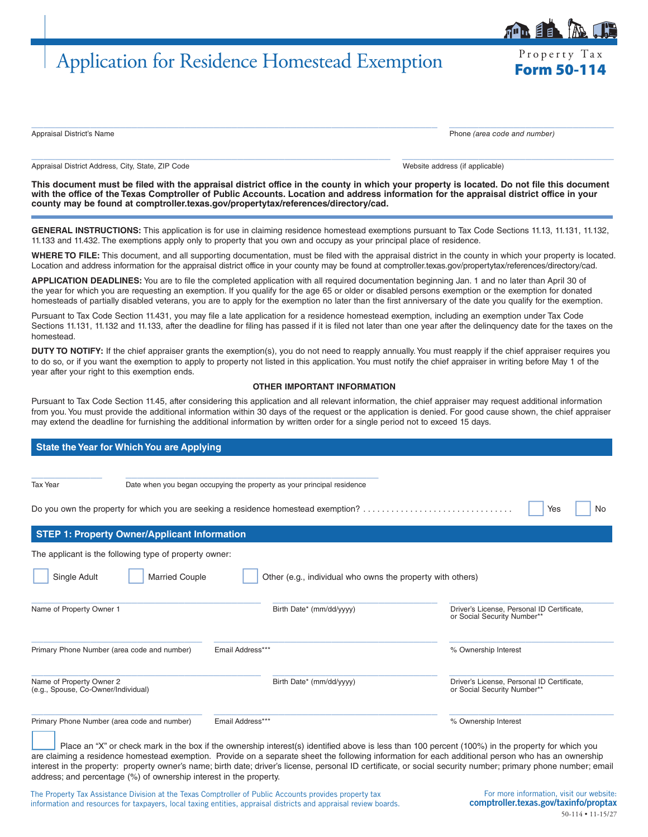# Application for Residence Homestead Exemption Frequency Tax

Property Tax

Appraisal District's Name Phone *(area code and number)*

Appraisal District Address, City, State, ZIP Code Website address (if applicable) and Mebsite address (if applicable)

**This document must be filed with the appraisal district office in the county in which your property is located. Do not file this document with the office of the Texas Comptroller of Public Accounts. Location and address information for the appraisal district office in your county may be found at [comptroller.texas.gov/propertytax/references/directory/cad](http://comptroller.texas.gov/propertytax/references/directory/cad).**

 $\_$  , and the set of the set of the set of the set of the set of the set of the set of the set of the set of the set of the set of the set of the set of the set of the set of the set of the set of the set of the set of th

 $\_$  ,  $\_$  ,  $\_$  ,  $\_$  ,  $\_$  ,  $\_$  ,  $\_$  ,  $\_$  ,  $\_$  ,  $\_$  ,  $\_$  ,  $\_$  ,  $\_$  ,  $\_$  ,  $\_$  ,  $\_$  ,  $\_$  ,  $\_$  ,  $\_$  ,  $\_$  ,  $\_$  ,  $\_$  ,  $\_$  ,  $\_$  ,  $\_$  ,  $\_$  ,  $\_$  ,  $\_$  ,  $\_$  ,  $\_$  ,  $\_$  ,  $\_$  ,  $\_$  ,  $\_$  ,  $\_$  ,  $\_$  ,  $\_$  ,

**GENERAL INSTRUCTIONS:** This application is for use in claiming residence homestead exemptions pursuant to Tax Code Sections 11.13, 11.131, 11.132, 11.133 and 11.432. The exemptions apply only to property that you own and occupy as your principal place of residence.

**WHERE TO FILE:** This document, and all supporting documentation, must be filed with the appraisal district in the county in which your property is located. Location and address information for the appraisal district office in your county may be found at [comptroller.texas.gov/propertytax/references/directory/cad](http://comptroller.texas.gov/propertytax/references/directory/cad).

**APPLICATION DEADLINES:** You are to file the completed application with all required documentation beginning Jan. 1 and no later than April 30 of the year for which you are requesting an exemption. If you qualify for the age 65 or older or disabled persons exemption or the exemption for donated homesteads of partially disabled veterans, you are to apply for the exemption no later than the first anniversary of the date you qualify for the exemption.

Pursuant to Tax Code Section 11.431, you may file a late application for a residence homestead exemption, including an exemption under Tax Code Sections 11.131, 11.132 and 11.133, after the deadline for filing has passed if it is filed not later than one year after the delinquency date for the taxes on the homestead.

**DUTY TO NOTIFY:** If the chief appraiser grants the exemption(s), you do not need to reapply annually. You must reapply if the chief appraiser requires you to do so, or if you want the exemption to apply to property not listed in this application. You must notify the chief appraiser in writing before May 1 of the year after your right to this exemption ends.

## **OTHER IMPORTANT INFORMATION**

Pursuant to Tax Code Section 11.45, after considering this application and all relevant information, the chief appraiser may request additional information from you. You must provide the additional information within 30 days of the request or the application is denied. For good cause shown, the chief appraiser may extend the deadline for furnishing the additional information by written order for a single period not to exceed 15 days.

## **State the Year for Which You are Applying**

| <b>Tax Year</b>                                                 | Date when you began occupying the property as your principal residence             |                                                                           |  |
|-----------------------------------------------------------------|------------------------------------------------------------------------------------|---------------------------------------------------------------------------|--|
|                                                                 | Do you own the property for which you are seeking a residence homestead exemption? | Yes<br>No                                                                 |  |
| <b>STEP 1: Property Owner/Applicant Information</b>             |                                                                                    |                                                                           |  |
| The applicant is the following type of property owner:          |                                                                                    |                                                                           |  |
| <b>Married Couple</b><br>Single Adult                           | Other (e.g., individual who owns the property with others)                         |                                                                           |  |
| Name of Property Owner 1                                        | Birth Date* (mm/dd/yyyy)                                                           | Driver's License, Personal ID Certificate,<br>or Social Security Number** |  |
| Primary Phone Number (area code and number)                     | Email Address***                                                                   | % Ownership Interest                                                      |  |
| Name of Property Owner 2<br>(e.g., Spouse, Co-Owner/Individual) | Birth Date* (mm/dd/yyyy)                                                           | Driver's License, Personal ID Certificate,<br>or Social Security Number** |  |
| Primary Phone Number (area code and number)                     | Email Address***                                                                   | % Ownership Interest                                                      |  |

Place an "X" or check mark in the box if the ownership interest(s) identified above is less than 100 percent (100%) in the property for which you are claiming a residence homestead exemption. Provide on a separate sheet the following information for each additional person who has an ownership interest in the property: property owner's name; birth date; driver's license, personal ID certificate, or social security number; primary phone number; email address; and percentage (%) of ownership interest in the property.

The Property Tax Assistance Division at the Texas Comptroller of Public Accounts provides property tax information and resources for taxpayers, local taxing entities, appraisal districts and appraisal review boards.

For more information, visit our website: [comptroller.texas.gov/taxinfo/proptax](http://comptroller.texas.gov/taxinfo/proptax) 50-114 • 11-15/27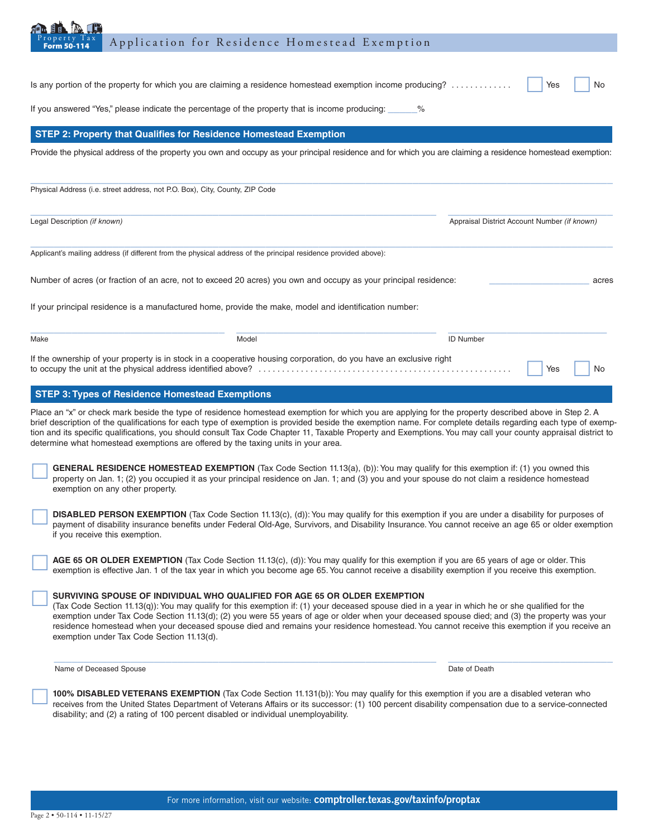| Property Tax<br>Application for Residence Homestead Exemption<br><b>Form 50-114</b>                                                                                                                                                                                                                                                                                                                                                                                                                                                                                            |                                              |  |  |
|--------------------------------------------------------------------------------------------------------------------------------------------------------------------------------------------------------------------------------------------------------------------------------------------------------------------------------------------------------------------------------------------------------------------------------------------------------------------------------------------------------------------------------------------------------------------------------|----------------------------------------------|--|--|
| Is any portion of the property for which you are claiming a residence homestead exemption income producing?                                                                                                                                                                                                                                                                                                                                                                                                                                                                    | Yes<br>No                                    |  |  |
| If you answered "Yes," please indicate the percentage of the property that is income producing: ____<br>%                                                                                                                                                                                                                                                                                                                                                                                                                                                                      |                                              |  |  |
| STEP 2: Property that Qualifies for Residence Homestead Exemption                                                                                                                                                                                                                                                                                                                                                                                                                                                                                                              |                                              |  |  |
| Provide the physical address of the property you own and occupy as your principal residence and for which you are claiming a residence homestead exemption:                                                                                                                                                                                                                                                                                                                                                                                                                    |                                              |  |  |
| Physical Address (i.e. street address, not P.O. Box), City, County, ZIP Code                                                                                                                                                                                                                                                                                                                                                                                                                                                                                                   |                                              |  |  |
| Legal Description (if known)                                                                                                                                                                                                                                                                                                                                                                                                                                                                                                                                                   | Appraisal District Account Number (if known) |  |  |
| Applicant's mailing address (if different from the physical address of the principal residence provided above):                                                                                                                                                                                                                                                                                                                                                                                                                                                                |                                              |  |  |
| Number of acres (or fraction of an acre, not to exceed 20 acres) you own and occupy as your principal residence:                                                                                                                                                                                                                                                                                                                                                                                                                                                               | acres                                        |  |  |
| If your principal residence is a manufactured home, provide the make, model and identification number:                                                                                                                                                                                                                                                                                                                                                                                                                                                                         |                                              |  |  |
| Model<br>Make                                                                                                                                                                                                                                                                                                                                                                                                                                                                                                                                                                  | <b>ID Number</b>                             |  |  |
| If the ownership of your property is in stock in a cooperative housing corporation, do you have an exclusive right                                                                                                                                                                                                                                                                                                                                                                                                                                                             | Yes<br>No                                    |  |  |
| <b>STEP 3: Types of Residence Homestead Exemptions</b>                                                                                                                                                                                                                                                                                                                                                                                                                                                                                                                         |                                              |  |  |
| Place an "x" or check mark beside the type of residence homestead exemption for which you are applying for the property described above in Step 2. A<br>brief description of the qualifications for each type of exemption is provided beside the exemption name. For complete details regarding each type of exemp-<br>tion and its specific qualifications, you should consult Tax Code Chapter 11, Taxable Property and Exemptions. You may call your county appraisal district to<br>determine what homestead exemptions are offered by the taxing units in your area.     |                                              |  |  |
| <b>GENERAL RESIDENCE HOMESTEAD EXEMPTION</b> (Tax Code Section 11.13(a), (b)): You may qualify for this exemption if: (1) you owned this<br>property on Jan. 1; (2) you occupied it as your principal residence on Jan. 1; and (3) you and your spouse do not claim a residence homestead<br>exemption on any other property.                                                                                                                                                                                                                                                  |                                              |  |  |
| DISABLED PERSON EXEMPTION (Tax Code Section 11.13(c), (d)): You may qualify for this exemption if you are under a disability for purposes of<br>payment of disability insurance benefits under Federal Old-Age, Survivors, and Disability Insurance. You cannot receive an age 65 or older exemption<br>if you receive this exemption.                                                                                                                                                                                                                                         |                                              |  |  |
| AGE 65 OR OLDER EXEMPTION (Tax Code Section 11.13(c), (d)): You may qualify for this exemption if you are 65 years of age or older. This<br>exemption is effective Jan. 1 of the tax year in which you become age 65. You cannot receive a disability exemption if you receive this exemption.                                                                                                                                                                                                                                                                                 |                                              |  |  |
| SURVIVING SPOUSE OF INDIVIDUAL WHO QUALIFIED FOR AGE 65 OR OLDER EXEMPTION<br>(Tax Code Section 11.13(q)): You may qualify for this exemption if: (1) your deceased spouse died in a year in which he or she qualified for the<br>exemption under Tax Code Section 11.13(d); (2) you were 55 years of age or older when your deceased spouse died; and (3) the property was your<br>residence homestead when your deceased spouse died and remains your residence homestead. You cannot receive this exemption if you receive an<br>exemption under Tax Code Section 11.13(d). |                                              |  |  |
| Name of Deceased Spouse                                                                                                                                                                                                                                                                                                                                                                                                                                                                                                                                                        | Date of Death                                |  |  |
| 100% DISABLED VETERANS EXEMPTION (Tax Code Section 11.131(b)): You may qualify for this exemption if you are a disabled veteran who<br>receives from the United States Department of Veterans Affairs or its successor: (1) 100 percent disability compensation due to a service-connected<br>disability; and (2) a rating of 100 percent disabled or individual unemployability.                                                                                                                                                                                              |                                              |  |  |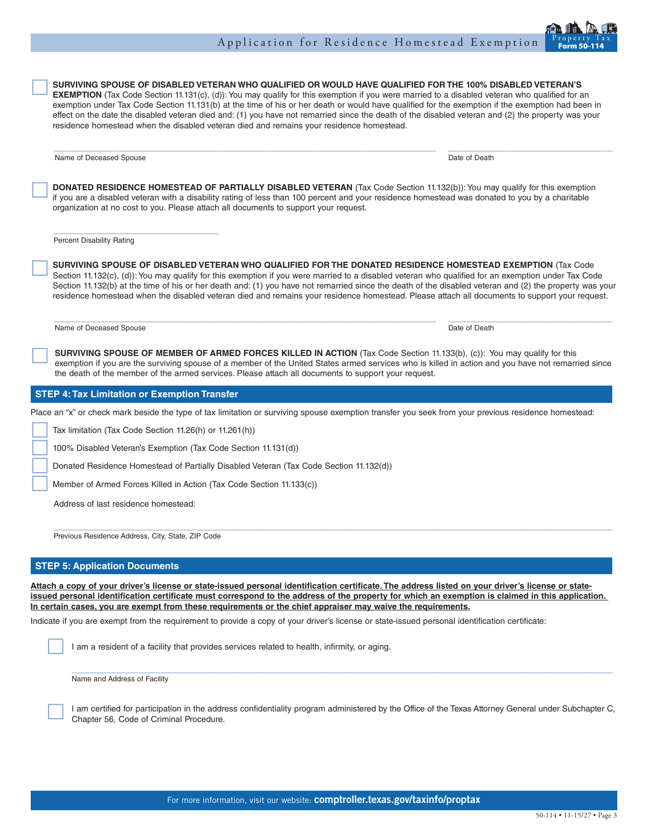## Application for Residence Homestead Exemption

SURVIVING SPOUSE OF DISABLED VETERAN WHO QUALIFIED OR WOULD HAVE QUALIFIED FOR THE 100% DISABLED VETERAN'S<br>EXEMPTION (Tax Code Section 11.131(c), (d)): You may qualify for this exemption if you were married to a disabled v exemption under Tax Code Section 11.131(b) at the time of his or her death or would have qualified for the exemption if the exemption had been in effect on the date the disabled veteran died and: (1) you have not remarried since the death of the disabled veteran and (2) the property was your residence homestead when the disabled veteran died and remains your residence homestead.

 $\mathcal{L}_\mathcal{L} = \{ \mathcal{L}_\mathcal{L} = \{ \mathcal{L}_\mathcal{L} = \{ \mathcal{L}_\mathcal{L} = \{ \mathcal{L}_\mathcal{L} = \{ \mathcal{L}_\mathcal{L} = \{ \mathcal{L}_\mathcal{L} = \{ \mathcal{L}_\mathcal{L} = \{ \mathcal{L}_\mathcal{L} = \{ \mathcal{L}_\mathcal{L} = \{ \mathcal{L}_\mathcal{L} = \{ \mathcal{L}_\mathcal{L} = \{ \mathcal{L}_\mathcal{L} = \{ \mathcal{L}_\mathcal{L} = \{ \mathcal{L}_\mathcal{$ 

Name of Deceased Spouse Date of Death Name of Deceased Spouse

 **DONATED RESIDENCE HOMESTEAD OF PARTIALLY DISABLED VETERAN** (Tax Code Section 11.132(b)): You may qualify for this exemption if you are a disabled veteran with a disability rating of less than 100 percent and your residence homestead was donated to you by a charitable organization at no cost to you. Please attach all documents to support your request.

Percent Disability Rating

 **SURVIVING SPOUSE OF DISABLED VETERAN WHO QUALIFIED FOR THE DONATED RESIDENCE HOMESTEAD EXEMPTION** (Tax Code Section 11.132(c), (d)): You may qualify for this exemption if you were married to a disabled veteran who qualified for an exemption under Tax Code Section 11.132(b) at the time of his or her death and: (1) you have not remarried since the death of the disabled veteran and (2) the property was your residence homestead when the disabled veteran died and remains your residence homestead. Please attach all documents to support your request.

Name of Deceased Spouse **Date of Death** and Date of Death of Death of Death of Death of Death of Death of Death of Death of Death of Death of Death of Death of Death of Death of Death of Death of Death of Death of Death of

 **SURVIVING SPOUSE OF MEMBER OF ARMED FORCES KILLED IN ACTION** (Tax Code Section 11.133(b), (c)): You may qualify for this exemption if you are the surviving spouse of a member of the United States armed services who is killed in action and you have not remarried since the death of the member of the armed services. Please attach all documents to support your request.

## **STEP 4: Tax Limitation or Exemption Transfer**

Place an "x" or check mark beside the type of tax limitation or surviving spouse exemption transfer you seek from your previous residence homestead:

Tax limitation (Tax Code Section 11.26(h) or 11.261(h))

100% Disabled Veteran's Exemption (Tax Code Section 11.131(d))

Donated Residence Homestead of Partially Disabled Veteran (Tax Code Section 11.132(d))

Member of Armed Forces Killed in Action (Tax Code Section 11.133(c))

Address of last residence homestead:

Previous Residence Address, City, State, ZIP Code

## **STEP 5: Application Documents**

**Attach a copy of your driver's license or state-issued personal identification certificate. The address listed on your driver's license or stateissued personal identification certificate must correspond to the address of the property for which an exemption is claimed in this application. In certain cases, you are exempt from these requirements or the chief appraiser may waive the requirements.**

 $\mathcal{L}_\mathcal{L} = \{ \mathcal{L}_\mathcal{L} = \{ \mathcal{L}_\mathcal{L} = \{ \mathcal{L}_\mathcal{L} = \{ \mathcal{L}_\mathcal{L} = \{ \mathcal{L}_\mathcal{L} = \{ \mathcal{L}_\mathcal{L} = \{ \mathcal{L}_\mathcal{L} = \{ \mathcal{L}_\mathcal{L} = \{ \mathcal{L}_\mathcal{L} = \{ \mathcal{L}_\mathcal{L} = \{ \mathcal{L}_\mathcal{L} = \{ \mathcal{L}_\mathcal{L} = \{ \mathcal{L}_\mathcal{L} = \{ \mathcal{L}_\mathcal{$ 

Indicate if you are exempt from the requirement to provide a copy of your driver's license or state-issued personal identification certificate:

I am a resident of a facility that provides services related to health, infirmity, or aging.

Name and Address of Facility

 I am certified for participation in the address confidentiality program administered by the Office of the Texas Attorney General under Subchapter C, Chapter 56, Code of Criminal Procedure.

 $\_$  ,  $\_$  ,  $\_$  ,  $\_$  ,  $\_$  ,  $\_$  ,  $\_$  ,  $\_$  ,  $\_$  ,  $\_$  ,  $\_$  ,  $\_$  ,  $\_$  ,  $\_$  ,  $\_$  ,  $\_$  ,  $\_$  ,  $\_$  ,  $\_$  ,  $\_$  ,  $\_$  ,  $\_$  ,  $\_$  ,  $\_$  ,  $\_$  ,  $\_$  ,  $\_$  ,  $\_$  ,  $\_$  ,  $\_$  ,  $\_$  ,  $\_$  ,  $\_$  ,  $\_$  ,  $\_$  ,  $\_$  ,  $\_$  ,

 $\mathcal{L}_\mathcal{L} = \{ \mathcal{L}_\mathcal{L} = \{ \mathcal{L}_\mathcal{L} = \{ \mathcal{L}_\mathcal{L} = \{ \mathcal{L}_\mathcal{L} = \{ \mathcal{L}_\mathcal{L} = \{ \mathcal{L}_\mathcal{L} = \{ \mathcal{L}_\mathcal{L} = \{ \mathcal{L}_\mathcal{L} = \{ \mathcal{L}_\mathcal{L} = \{ \mathcal{L}_\mathcal{L} = \{ \mathcal{L}_\mathcal{L} = \{ \mathcal{L}_\mathcal{L} = \{ \mathcal{L}_\mathcal{L} = \{ \mathcal{L}_\mathcal{$ 

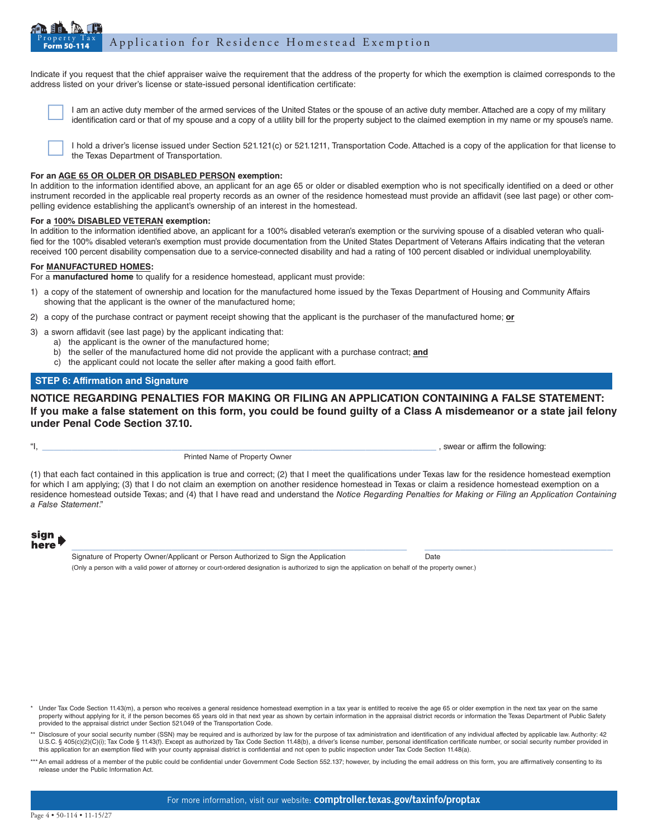#### Property Tax Application for Residence Homestead Exemption

Indicate if you request that the chief appraiser waive the requirement that the address of the property for which the exemption is claimed corresponds to the address listed on your driver's license or state-issued personal identification certificate:

 I am an active duty member of the armed services of the United States or the spouse of an active duty member. Attached are a copy of my military identification card or that of my spouse and a copy of a utility bill for the property subject to the claimed exemption in my name or my spouse's name.

 I hold a driver's license issued under Section 521.121(c) or 521.1211, Transportation Code. Attached is a copy of the application for that license to the Texas Department of Transportation.

## **For an AGE 65 OR OLDER OR DISABLED PERSON exemption:**

In addition to the information identified above, an applicant for an age 65 or older or disabled exemption who is not specifically identified on a deed or other instrument recorded in the applicable real property records as an owner of the residence homestead must provide an affidavit (see last page) or other com pelling evidence establishing the applicant's ownership of an interest in the homestead.

## **For a 100% DISABLED VETERAN exemption:**

In addition to the information identified above, an applicant for a 100% disabled veteran's exemption or the surviving spouse of a disabled veteran who quali fied for the 100% disabled veteran's exemption must provide documentation from the United States Department of Veterans Affairs indicating that the veteran received 100 percent disability compensation due to a service-connected disability and had a rating of 100 percent disabled or individual unemployability.

## **For MANUFACTURED HOMES:**

For a **manufactured home** to qualify for a residence homestead, applicant must provide:

- 1) a copy of the statement of ownership and location for the manufactured home issued by the Texas Department of Housing and Community Affairs showing that the applicant is the owner of the manufactured home;
- 2) a copy of the purchase contract or payment receipt showing that the applicant is the purchaser of the manufactured home; **or**
- 3) a sworn affidavit (see last page) by the applicant indicating that:
	- a) the applicant is the owner of the manufactured home;
		- b) the seller of the manufactured home did not provide the applicant with a purchase contract; **and**
		- c) the applicant could not locate the seller after making a good faith effort.

## **STEP 6: Affirmation and Signature**

**NOTICE REGARDING PENALTIES FOR MAKING OR FILING AN APPLICATION CONTAINING A FALSE STATEMENT: If you make a false statement on this form, you could be found guilty of a Class A misdemeanor or a state jail felony under Penal Code Section 37.10.**

 $"$ , swear or affirm the following:

Printed Name of Property Owner

(1) that each fact contained in this application is true and correct; (2) that I meet the qualifications under Texas law for the residence homestead exemption for which I am applying; (3) that I do not claim an exemption on another residence homestead in Texas or claim a residence homestead exemption on a residence homestead outside Texas; and (4) that I have read and understand the *Notice Regarding Penalties for Making or Filing an Application Containing a False Statement*."

 $\_$  ,  $\_$  ,  $\_$  ,  $\_$  ,  $\_$  ,  $\_$  ,  $\_$  ,  $\_$  ,  $\_$  ,  $\_$  ,  $\_$  ,  $\_$  ,  $\_$  ,  $\_$  ,  $\_$  ,  $\_$  ,  $\_$  ,  $\_$  ,  $\_$  ,  $\_$  ,  $\_$  ,  $\_$  ,  $\_$  ,  $\_$  ,  $\_$  ,  $\_$  ,  $\_$  ,  $\_$  ,  $\_$  ,  $\_$  ,  $\_$  ,  $\_$  ,  $\_$  ,  $\_$  ,  $\_$  ,  $\_$  ,  $\_$  ,

sign here

Signature of Property Owner/Applicant or Person Authorized to Sign the Application Date (Only a person with a valid power of attorney or court-ordered designation is authorized to sign the application on behalf of the property owner.)

Under Tax Code Section 11.43(m), a person who receives a general residence homestead exemption in a tax year is entitled to receive the age 65 or older exemption in the next tax year on the same property without applying for it, if the person becomes 65 years old in that next year as shown by certain information in the appraisal district records or information the Texas Department of Public Safety provided to the appraisal district under Section 521.049 of the Transportation Code.

\*\* Disclosure of your social security number (SSN) may be required and is authorized by law for the purpose of tax administration and identification of any individual affected by applicable law. Authority: 42 U.S.C. § 405(c)(2)(C)(i); Tax Code § 11.43(f). Except as authorized by Tax Code Section 11.48(b), a driver's license number, personal identification certificate number, or social security number provided in this application for an exemption filed with your county appraisal district is confidential and not open to public inspection under Tax Code Section 11.48(a).

\*\*\* An email address of a member of the public could be confidential under Government Code Section 552.137; however, by including the email address on this form, you are affirmatively consenting to its release under the Public Information Act.